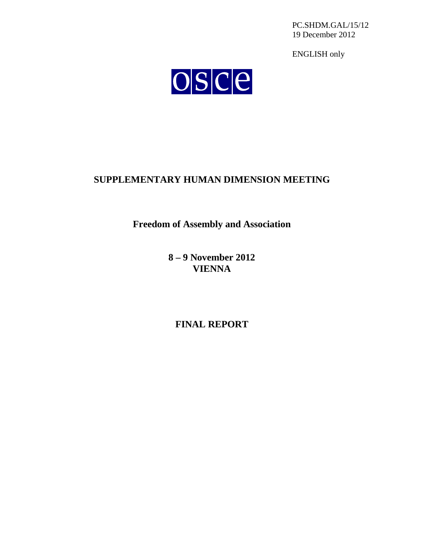PC.SHDM.GAL/15/12 19 December 2012

ENGLISH only



# **SUPPLEMENTARY HUMAN DIMENSION MEETING**

**Freedom of Assembly and Association**

**8 – 9 November 2012 VIENNA**

**FINAL REPORT**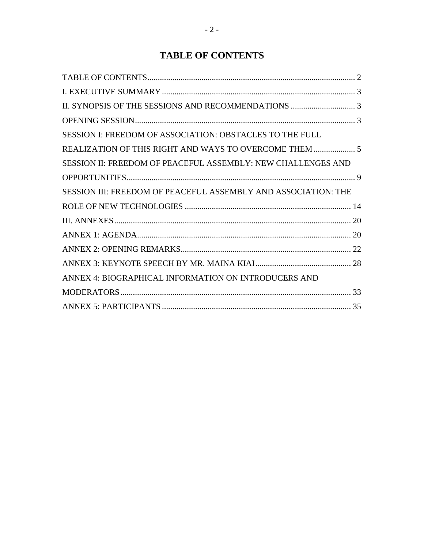# **TABLE OF CONTENTS**

<span id="page-1-0"></span>

| SESSION I: FREEDOM OF ASSOCIATION: OBSTACLES TO THE FULL       |  |
|----------------------------------------------------------------|--|
| REALIZATION OF THIS RIGHT AND WAYS TO OVERCOME THEM  5         |  |
| SESSION II: FREEDOM OF PEACEFUL ASSEMBLY: NEW CHALLENGES AND   |  |
|                                                                |  |
| SESSION III: FREEDOM OF PEACEFUL ASSEMBLY AND ASSOCIATION: THE |  |
|                                                                |  |
|                                                                |  |
|                                                                |  |
|                                                                |  |
|                                                                |  |
| ANNEX 4: BIOGRAPHICAL INFORMATION ON INTRODUCERS AND           |  |
|                                                                |  |
|                                                                |  |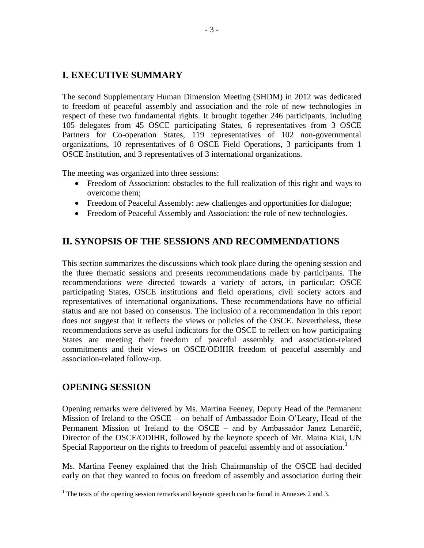# <span id="page-2-0"></span>**I. EXECUTIVE SUMMARY**

The second Supplementary Human Dimension Meeting (SHDM) in 2012 was dedicated to freedom of peaceful assembly and association and the role of new technologies in respect of these two fundamental rights. It brought together 246 participants, including 105 delegates from 45 OSCE participating States, 6 representatives from 3 OSCE Partners for Co-operation States, 119 representatives of 102 non-governmental organizations, 10 representatives of 8 OSCE Field Operations, 3 participants from 1 OSCE Institution, and 3 representatives of 3 international organizations.

The meeting was organized into three sessions:

- Freedom of Association: obstacles to the full realization of this right and ways to overcome them;
- Freedom of Peaceful Assembly: new challenges and opportunities for dialogue;
- Freedom of Peaceful Assembly and Association: the role of new technologies.

# <span id="page-2-1"></span>**II. SYNOPSIS OF THE SESSIONS AND RECOMMENDATIONS**

This section summarizes the discussions which took place during the opening session and the three thematic sessions and presents recommendations made by participants. The recommendations were directed towards a variety of actors, in particular: OSCE participating States, OSCE institutions and field operations, civil society actors and representatives of international organizations. These recommendations have no official status and are not based on consensus. The inclusion of a recommendation in this report does not suggest that it reflects the views or policies of the OSCE. Nevertheless, these recommendations serve as useful indicators for the OSCE to reflect on how participating States are meeting their freedom of peaceful assembly and association-related commitments and their views on OSCE/ODIHR freedom of peaceful assembly and association-related follow-up.

# <span id="page-2-2"></span>**OPENING SESSION**

Opening remarks were delivered by Ms. Martina Feeney, Deputy Head of the Permanent Mission of Ireland to the OSCE – on behalf of Ambassador Eoin O'Leary, Head of the Permanent Mission of Ireland to the OSCE – and by Ambassador Janez Lenarčič, Director of the OSCE/ODIHR, followed by the keynote speech of Mr. Maina Kiai, UN Special Rapporteur on the rights to freedom of peaceful assembly and of association.<sup>[1](#page-2-3)</sup>

Ms. Martina Feeney explained that the Irish Chairmanship of the OSCE had decided early on that they wanted to focus on freedom of assembly and association during their

<span id="page-2-3"></span><sup>&</sup>lt;sup>1</sup> The texts of the opening session remarks and keynote speech can be found in Annexes 2 and 3.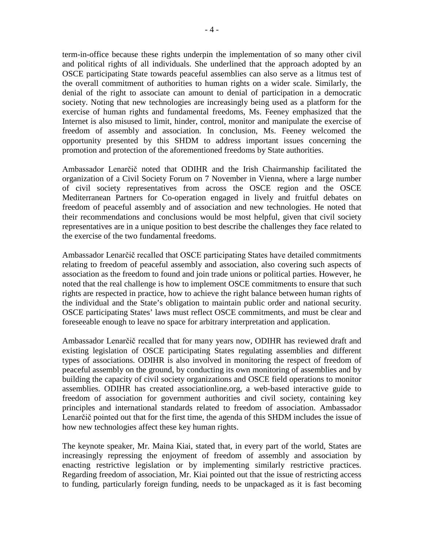term-in-office because these rights underpin the implementation of so many other civil and political rights of all individuals. She underlined that the approach adopted by an OSCE participating State towards peaceful assemblies can also serve as a litmus test of the overall commitment of authorities to human rights on a wider scale. Similarly, the denial of the right to associate can amount to denial of participation in a democratic society. Noting that new technologies are increasingly being used as a platform for the exercise of human rights and fundamental freedoms, Ms. Feeney emphasized that the Internet is also misused to limit, hinder, control, monitor and manipulate the exercise of freedom of assembly and association. In conclusion, Ms. Feeney welcomed the opportunity presented by this SHDM to address important issues concerning the promotion and protection of the aforementioned freedoms by State authorities.

Ambassador Lenarčič noted that ODIHR and the Irish Chairmanship facilitated the organization of a Civil Society Forum on 7 November in Vienna, where a large number of civil society representatives from across the OSCE region and the OSCE Mediterranean Partners for Co-operation engaged in lively and fruitful debates on freedom of peaceful assembly and of association and new technologies. He noted that their recommendations and conclusions would be most helpful, given that civil society representatives are in a unique position to best describe the challenges they face related to the exercise of the two fundamental freedoms.

Ambassador Lenarčič recalled that OSCE participating States have detailed commitments relating to freedom of peaceful assembly and association, also covering such aspects of association as the freedom to found and join trade unions or political parties. However, he noted that the real challenge is how to implement OSCE commitments to ensure that such rights are respected in practice, how to achieve the right balance between human rights of the individual and the State's obligation to maintain public order and national security. OSCE participating States' laws must reflect OSCE commitments, and must be clear and foreseeable enough to leave no space for arbitrary interpretation and application.

Ambassador Lenarčič recalled that for many years now, ODIHR has reviewed draft and existing legislation of OSCE participating States regulating assemblies and different types of associations. ODIHR is also involved in monitoring the respect of freedom of peaceful assembly on the ground, by conducting its own monitoring of assemblies and by building the capacity of civil society organizations and OSCE field operations to monitor assemblies. ODIHR has created associationline.org, a web-based interactive guide to freedom of association for government authorities and civil society, containing key principles and international standards related to freedom of association. Ambassador Lenarčič pointed out that for the first time, the agenda of this SHDM includes the issue of how new technologies affect these key human rights.

The keynote speaker, Mr. Maina Kiai, stated that, in every part of the world, States are increasingly repressing the enjoyment of freedom of assembly and association by enacting restrictive legislation or by implementing similarly restrictive practices. Regarding freedom of association, Mr. Kiai pointed out that the issue of restricting access to funding, particularly foreign funding, needs to be unpackaged as it is fast becoming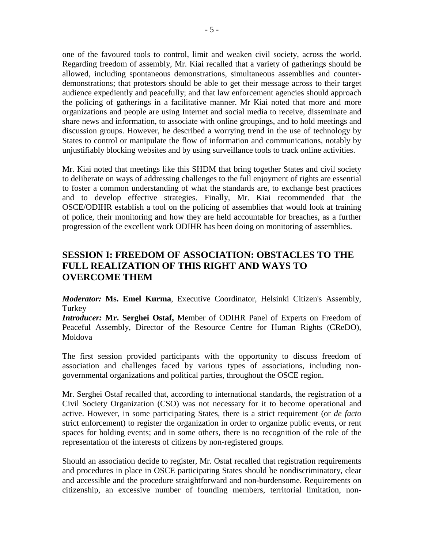one of the favoured tools to control, limit and weaken civil society, across the world. Regarding freedom of assembly, Mr. Kiai recalled that a variety of gatherings should be allowed, including spontaneous demonstrations, simultaneous assemblies and counterdemonstrations; that protestors should be able to get their message across to their target audience expediently and peacefully; and that law enforcement agencies should approach the policing of gatherings in a facilitative manner. Mr Kiai noted that more and more organizations and people are using Internet and social media to receive, disseminate and share news and information, to associate with online groupings, and to hold meetings and discussion groups. However, he described a worrying trend in the use of technology by States to control or manipulate the flow of information and communications, notably by unjustifiably blocking websites and by using surveillance tools to track online activities.

Mr. Kiai noted that meetings like this SHDM that bring together States and civil society to deliberate on ways of addressing challenges to the full enjoyment of rights are essential to foster a common understanding of what the standards are, to exchange best practices and to develop effective strategies. Finally, Mr. Kiai recommended that the OSCE/ODIHR establish a tool on the policing of assemblies that would look at training of police, their monitoring and how they are held accountable for breaches, as a further progression of the excellent work ODIHR has been doing on monitoring of assemblies.

# <span id="page-4-0"></span>**SESSION I: FREEDOM OF ASSOCIATION: OBSTACLES TO THE FULL REALIZATION OF THIS RIGHT AND WAYS TO OVERCOME THEM**

*Moderator:* **Ms. Emel Kurma**, Executive Coordinator, Helsinki Citizen's Assembly, Turkey

*Introducer:* **Mr. Serghei Ostaf,** Member of ODIHR Panel of Experts on Freedom of Peaceful Assembly, Director of the Resource Centre for Human Rights (CReDO), Moldova

The first session provided participants with the opportunity to discuss freedom of association and challenges faced by various types of associations, including nongovernmental organizations and political parties, throughout the OSCE region.

Mr. Serghei Ostaf recalled that, according to international standards, the registration of a Civil Society Organization (CSO) was not necessary for it to become operational and active. However, in some participating States, there is a strict requirement (or *de facto* strict enforcement) to register the organization in order to organize public events, or rent spaces for holding events; and in some others, there is no recognition of the role of the representation of the interests of citizens by non-registered groups.

Should an association decide to register, Mr. Ostaf recalled that registration requirements and procedures in place in OSCE participating States should be nondiscriminatory, clear and accessible and the procedure straightforward and non-burdensome. Requirements on citizenship, an excessive number of founding members, territorial limitation, non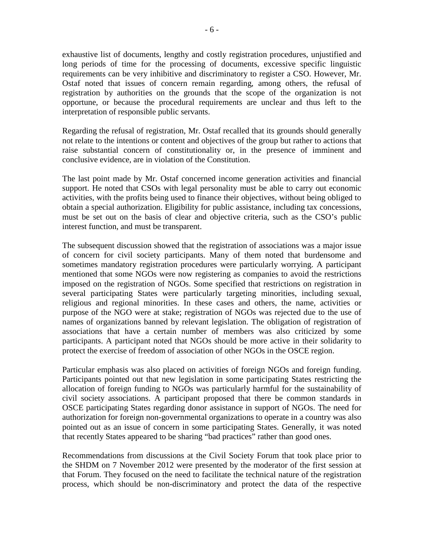exhaustive list of documents, lengthy and costly registration procedures, unjustified and long periods of time for the processing of documents, excessive specific linguistic requirements can be very inhibitive and discriminatory to register a CSO. However, Mr. Ostaf noted that issues of concern remain regarding, among others, the refusal of registration by authorities on the grounds that the scope of the organization is not opportune, or because the procedural requirements are unclear and thus left to the interpretation of responsible public servants.

Regarding the refusal of registration, Mr. Ostaf recalled that its grounds should generally not relate to the intentions or content and objectives of the group but rather to actions that raise substantial concern of constitutionality or, in the presence of imminent and conclusive evidence, are in violation of the Constitution.

The last point made by Mr. Ostaf concerned income generation activities and financial support. He noted that CSOs with legal personality must be able to carry out economic activities, with the profits being used to finance their objectives, without being obliged to obtain a special authorization. Eligibility for public assistance, including tax concessions, must be set out on the basis of clear and objective criteria, such as the CSO's public interest function, and must be transparent.

The subsequent discussion showed that the registration of associations was a major issue of concern for civil society participants. Many of them noted that burdensome and sometimes mandatory registration procedures were particularly worrying. A participant mentioned that some NGOs were now registering as companies to avoid the restrictions imposed on the registration of NGOs. Some specified that restrictions on registration in several participating States were particularly targeting minorities, including sexual, religious and regional minorities. In these cases and others, the name, activities or purpose of the NGO were at stake; registration of NGOs was rejected due to the use of names of organizations banned by relevant legislation. The obligation of registration of associations that have a certain number of members was also criticized by some participants. A participant noted that NGOs should be more active in their solidarity to protect the exercise of freedom of association of other NGOs in the OSCE region.

Particular emphasis was also placed on activities of foreign NGOs and foreign funding. Participants pointed out that new legislation in some participating States restricting the allocation of foreign funding to NGOs was particularly harmful for the sustainability of civil society associations. A participant proposed that there be common standards in OSCE participating States regarding donor assistance in support of NGOs. The need for authorization for foreign non-governmental organizations to operate in a country was also pointed out as an issue of concern in some participating States. Generally, it was noted that recently States appeared to be sharing "bad practices" rather than good ones.

Recommendations from discussions at the Civil Society Forum that took place prior to the SHDM on 7 November 2012 were presented by the moderator of the first session at that Forum. They focused on the need to facilitate the technical nature of the registration process, which should be non-discriminatory and protect the data of the respective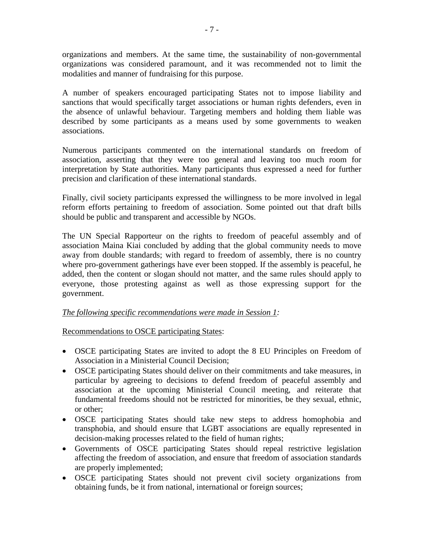organizations and members. At the same time, the sustainability of non-governmental organizations was considered paramount, and it was recommended not to limit the modalities and manner of fundraising for this purpose.

A number of speakers encouraged participating States not to impose liability and sanctions that would specifically target associations or human rights defenders, even in the absence of unlawful behaviour. Targeting members and holding them liable was described by some participants as a means used by some governments to weaken associations.

Numerous participants commented on the international standards on freedom of association, asserting that they were too general and leaving too much room for interpretation by State authorities. Many participants thus expressed a need for further precision and clarification of these international standards.

Finally, civil society participants expressed the willingness to be more involved in legal reform efforts pertaining to freedom of association. Some pointed out that draft bills should be public and transparent and accessible by NGOs.

The UN Special Rapporteur on the rights to freedom of peaceful assembly and of association Maina Kiai concluded by adding that the global community needs to move away from double standards; with regard to freedom of assembly, there is no country where pro-government gatherings have ever been stopped. If the assembly is peaceful, he added, then the content or slogan should not matter, and the same rules should apply to everyone, those protesting against as well as those expressing support for the government.

#### *The following specific recommendations were made in Session 1:*

Recommendations to OSCE participating States:

- OSCE participating States are invited to adopt the 8 EU Principles on Freedom of Association in a Ministerial Council Decision;
- OSCE participating States should deliver on their commitments and take measures, in particular by agreeing to decisions to defend freedom of peaceful assembly and association at the upcoming Ministerial Council meeting, and reiterate that fundamental freedoms should not be restricted for minorities, be they sexual, ethnic, or other;
- OSCE participating States should take new steps to address homophobia and transphobia, and should ensure that LGBT associations are equally represented in decision-making processes related to the field of human rights;
- Governments of OSCE participating States should repeal restrictive legislation affecting the freedom of association, and ensure that freedom of association standards are properly implemented;
- OSCE participating States should not prevent civil society organizations from obtaining funds, be it from national, international or foreign sources;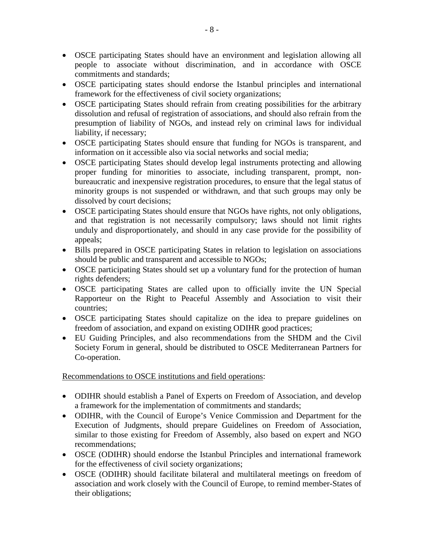- OSCE participating States should have an environment and legislation allowing all people to associate without discrimination, and in accordance with OSCE commitments and standards;
- OSCE participating states should endorse the Istanbul principles and international framework for the effectiveness of civil society organizations;
- OSCE participating States should refrain from creating possibilities for the arbitrary dissolution and refusal of registration of associations, and should also refrain from the presumption of liability of NGOs, and instead rely on criminal laws for individual liability, if necessary;
- OSCE participating States should ensure that funding for NGOs is transparent, and information on it accessible also via social networks and social media;
- OSCE participating States should develop legal instruments protecting and allowing proper funding for minorities to associate, including transparent, prompt, nonbureaucratic and inexpensive registration procedures, to ensure that the legal status of minority groups is not suspended or withdrawn, and that such groups may only be dissolved by court decisions;
- OSCE participating States should ensure that NGOs have rights, not only obligations, and that registration is not necessarily compulsory; laws should not limit rights unduly and disproportionately, and should in any case provide for the possibility of appeals;
- Bills prepared in OSCE participating States in relation to legislation on associations should be public and transparent and accessible to NGOs;
- OSCE participating States should set up a voluntary fund for the protection of human rights defenders;
- OSCE participating States are called upon to officially invite the UN Special Rapporteur on the Right to Peaceful Assembly and Association to visit their countries;
- OSCE participating States should capitalize on the idea to prepare guidelines on freedom of association, and expand on existing ODIHR good practices;
- EU Guiding Principles, and also recommendations from the SHDM and the Civil Society Forum in general, should be distributed to OSCE Mediterranean Partners for Co-operation.

Recommendations to OSCE institutions and field operations:

- ODIHR should establish a Panel of Experts on Freedom of Association, and develop a framework for the implementation of commitments and standards;
- ODIHR, with the Council of Europe's Venice Commission and Department for the Execution of Judgments, should prepare Guidelines on Freedom of Association, similar to those existing for Freedom of Assembly, also based on expert and NGO recommendations;
- OSCE (ODIHR) should endorse the Istanbul Principles and international framework for the effectiveness of civil society organizations;
- OSCE (ODIHR) should facilitate bilateral and multilateral meetings on freedom of association and work closely with the Council of Europe, to remind member-States of their obligations;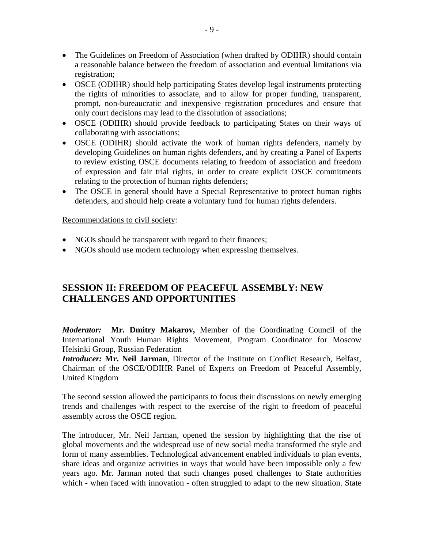- The Guidelines on Freedom of Association (when drafted by ODIHR) should contain a reasonable balance between the freedom of association and eventual limitations via registration;
- OSCE (ODIHR) should help participating States develop legal instruments protecting the rights of minorities to associate, and to allow for proper funding, transparent, prompt, non-bureaucratic and inexpensive registration procedures and ensure that only court decisions may lead to the dissolution of associations;
- OSCE (ODIHR) should provide feedback to participating States on their ways of collaborating with associations;
- OSCE (ODIHR) should activate the work of human rights defenders, namely by developing Guidelines on human rights defenders, and by creating a Panel of Experts to review existing OSCE documents relating to freedom of association and freedom of expression and fair trial rights, in order to create explicit OSCE commitments relating to the protection of human rights defenders;
- The OSCE in general should have a Special Representative to protect human rights defenders, and should help create a voluntary fund for human rights defenders.

#### Recommendations to civil society:

- NGOs should be transparent with regard to their finances;
- NGOs should use modern technology when expressing themselves.

# <span id="page-8-0"></span>**SESSION II: FREEDOM OF PEACEFUL ASSEMBLY: NEW CHALLENGES AND OPPORTUNITIES**

*Moderator:* **Mr. Dmitry Makarov,** Member of the Coordinating Council of the International Youth Human Rights Movement, Program Coordinator for Moscow Helsinki Group, Russian Federation

*Introducer:* **Mr. Neil Jarman**, Director of the Institute on Conflict Research, Belfast, Chairman of the OSCE/ODIHR Panel of Experts on Freedom of Peaceful Assembly, United Kingdom

The second session allowed the participants to focus their discussions on newly emerging trends and challenges with respect to the exercise of the right to freedom of peaceful assembly across the OSCE region.

The introducer, Mr. Neil Jarman, opened the session by highlighting that the rise of global movements and the widespread use of new social media transformed the style and form of many assemblies. Technological advancement enabled individuals to plan events, share ideas and organize activities in ways that would have been impossible only a few years ago. Mr. Jarman noted that such changes posed challenges to State authorities which - when faced with innovation - often struggled to adapt to the new situation. State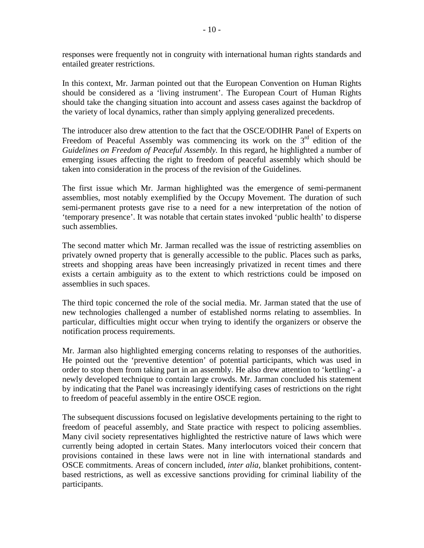responses were frequently not in congruity with international human rights standards and entailed greater restrictions.

In this context, Mr. Jarman pointed out that the European Convention on Human Rights should be considered as a 'living instrument'. The European Court of Human Rights should take the changing situation into account and assess cases against the backdrop of the variety of local dynamics, rather than simply applying generalized precedents.

The introducer also drew attention to the fact that the OSCE/ODIHR Panel of Experts on Freedom of Peaceful Assembly was commencing its work on the  $3<sup>rd</sup>$  edition of the *Guidelines on Freedom of Peaceful Assembly.* In this regard, he highlighted a number of emerging issues affecting the right to freedom of peaceful assembly which should be taken into consideration in the process of the revision of the Guidelines.

The first issue which Mr. Jarman highlighted was the emergence of semi-permanent assemblies, most notably exemplified by the Occupy Movement. The duration of such semi-permanent protests gave rise to a need for a new interpretation of the notion of 'temporary presence'. It was notable that certain states invoked 'public health' to disperse such assemblies.

The second matter which Mr. Jarman recalled was the issue of restricting assemblies on privately owned property that is generally accessible to the public. Places such as parks, streets and shopping areas have been increasingly privatized in recent times and there exists a certain ambiguity as to the extent to which restrictions could be imposed on assemblies in such spaces.

The third topic concerned the role of the social media. Mr. Jarman stated that the use of new technologies challenged a number of established norms relating to assemblies. In particular, difficulties might occur when trying to identify the organizers or observe the notification process requirements.

Mr. Jarman also highlighted emerging concerns relating to responses of the authorities. He pointed out the 'preventive detention' of potential participants, which was used in order to stop them from taking part in an assembly. He also drew attention to 'kettling'- a newly developed technique to contain large crowds. Mr. Jarman concluded his statement by indicating that the Panel was increasingly identifying cases of restrictions on the right to freedom of peaceful assembly in the entire OSCE region.

The subsequent discussions focused on legislative developments pertaining to the right to freedom of peaceful assembly, and State practice with respect to policing assemblies. Many civil society representatives highlighted the restrictive nature of laws which were currently being adopted in certain States. Many interlocutors voiced their concern that provisions contained in these laws were not in line with international standards and OSCE commitments. Areas of concern included, *inter alia*, blanket prohibitions, contentbased restrictions, as well as excessive sanctions providing for criminal liability of the participants.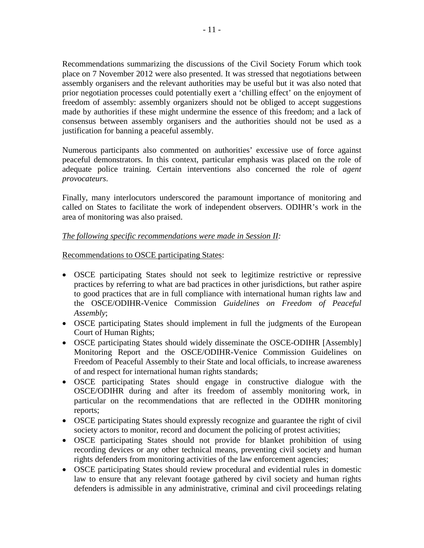Recommendations summarizing the discussions of the Civil Society Forum which took place on 7 November 2012 were also presented. It was stressed that negotiations between assembly organisers and the relevant authorities may be useful but it was also noted that prior negotiation processes could potentially exert a 'chilling effect' on the enjoyment of freedom of assembly: assembly organizers should not be obliged to accept suggestions made by authorities if these might undermine the essence of this freedom; and a lack of consensus between assembly organisers and the authorities should not be used as a justification for banning a peaceful assembly.

Numerous participants also commented on authorities' excessive use of force against peaceful demonstrators. In this context, particular emphasis was placed on the role of adequate police training. Certain interventions also concerned the role of *agent provocateurs*.

Finally, many interlocutors underscored the paramount importance of monitoring and called on States to facilitate the work of independent observers. ODIHR's work in the area of monitoring was also praised.

#### *The following specific recommendations were made in Session II:*

Recommendations to OSCE participating States:

- OSCE participating States should not seek to legitimize restrictive or repressive practices by referring to what are bad practices in other jurisdictions, but rather aspire to good practices that are in full compliance with international human rights law and the OSCE/ODIHR-Venice Commission *Guidelines on Freedom of Peaceful Assembly*;
- OSCE participating States should implement in full the judgments of the European Court of Human Rights;
- OSCE participating States should widely disseminate the OSCE-ODIHR [Assembly] Monitoring Report and the OSCE/ODIHR-Venice Commission Guidelines on Freedom of Peaceful Assembly to their State and local officials, to increase awareness of and respect for international human rights standards;
- OSCE participating States should engage in constructive dialogue with the OSCE/ODIHR during and after its freedom of assembly monitoring work, in particular on the recommendations that are reflected in the ODIHR monitoring reports;
- OSCE participating States should expressly recognize and guarantee the right of civil society actors to monitor, record and document the policing of protest activities;
- OSCE participating States should not provide for blanket prohibition of using recording devices or any other technical means, preventing civil society and human rights defenders from monitoring activities of the law enforcement agencies;
- OSCE participating States should review procedural and evidential rules in domestic law to ensure that any relevant footage gathered by civil society and human rights defenders is admissible in any administrative, criminal and civil proceedings relating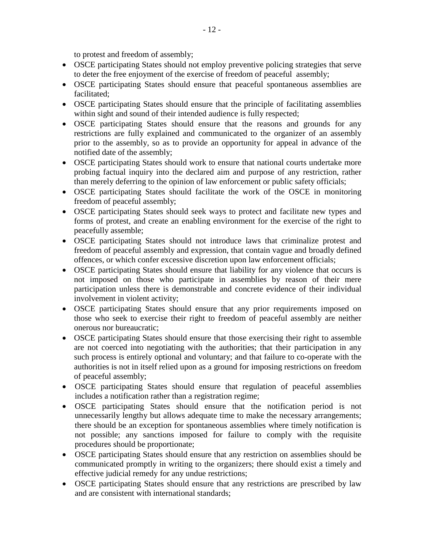to protest and freedom of assembly;

- OSCE participating States should not employ preventive policing strategies that serve to deter the free enjoyment of the exercise of freedom of peaceful assembly;
- OSCE participating States should ensure that peaceful spontaneous assemblies are facilitated;
- OSCE participating States should ensure that the principle of facilitating assemblies within sight and sound of their intended audience is fully respected;
- OSCE participating States should ensure that the reasons and grounds for any restrictions are fully explained and communicated to the organizer of an assembly prior to the assembly, so as to provide an opportunity for appeal in advance of the notified date of the assembly;
- OSCE participating States should work to ensure that national courts undertake more probing factual inquiry into the declared aim and purpose of any restriction, rather than merely deferring to the opinion of law enforcement or public safety officials;
- OSCE participating States should facilitate the work of the OSCE in monitoring freedom of peaceful assembly;
- OSCE participating States should seek ways to protect and facilitate new types and forms of protest, and create an enabling environment for the exercise of the right to peacefully assemble;
- OSCE participating States should not introduce laws that criminalize protest and freedom of peaceful assembly and expression, that contain vague and broadly defined offences, or which confer excessive discretion upon law enforcement officials;
- OSCE participating States should ensure that liability for any violence that occurs is not imposed on those who participate in assemblies by reason of their mere participation unless there is demonstrable and concrete evidence of their individual involvement in violent activity;
- OSCE participating States should ensure that any prior requirements imposed on those who seek to exercise their right to freedom of peaceful assembly are neither onerous nor bureaucratic;
- OSCE participating States should ensure that those exercising their right to assemble are not coerced into negotiating with the authorities; that their participation in any such process is entirely optional and voluntary; and that failure to co-operate with the authorities is not in itself relied upon as a ground for imposing restrictions on freedom of peaceful assembly;
- OSCE participating States should ensure that regulation of peaceful assemblies includes a notification rather than a registration regime;
- OSCE participating States should ensure that the notification period is not unnecessarily lengthy but allows adequate time to make the necessary arrangements; there should be an exception for spontaneous assemblies where timely notification is not possible; any sanctions imposed for failure to comply with the requisite procedures should be proportionate;
- OSCE participating States should ensure that any restriction on assemblies should be communicated promptly in writing to the organizers; there should exist a timely and effective judicial remedy for any undue restrictions;
- OSCE participating States should ensure that any restrictions are prescribed by law and are consistent with international standards;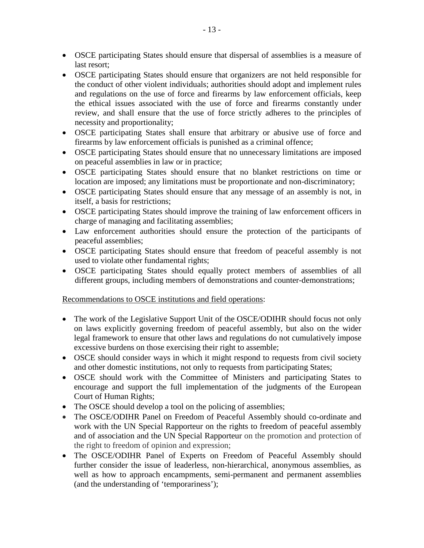- OSCE participating States should ensure that dispersal of assemblies is a measure of last resort;
- OSCE participating States should ensure that organizers are not held responsible for the conduct of other violent individuals; authorities should adopt and implement rules and regulations on the use of force and firearms by law enforcement officials, keep the ethical issues associated with the use of force and firearms constantly under review, and shall ensure that the use of force strictly adheres to the principles of necessity and proportionality;
- OSCE participating States shall ensure that arbitrary or abusive use of force and firearms by law enforcement officials is punished as a criminal offence;
- OSCE participating States should ensure that no unnecessary limitations are imposed on peaceful assemblies in law or in practice;
- OSCE participating States should ensure that no blanket restrictions on time or location are imposed; any limitations must be proportionate and non-discriminatory;
- OSCE participating States should ensure that any message of an assembly is not, in itself, a basis for restrictions;
- OSCE participating States should improve the training of law enforcement officers in charge of managing and facilitating assemblies;
- Law enforcement authorities should ensure the protection of the participants of peaceful assemblies;
- OSCE participating States should ensure that freedom of peaceful assembly is not used to violate other fundamental rights;
- OSCE participating States should equally protect members of assemblies of all different groups, including members of demonstrations and counter-demonstrations;

#### Recommendations to OSCE institutions and field operations:

- The work of the Legislative Support Unit of the OSCE/ODIHR should focus not only on laws explicitly governing freedom of peaceful assembly, but also on the wider legal framework to ensure that other laws and regulations do not cumulatively impose excessive burdens on those exercising their right to assemble;
- OSCE should consider ways in which it might respond to requests from civil society and other domestic institutions, not only to requests from participating States;
- OSCE should work with the Committee of Ministers and participating States to encourage and support the full implementation of the judgments of the European Court of Human Rights;
- The OSCE should develop a tool on the policing of assemblies;
- The OSCE/ODIHR Panel on Freedom of Peaceful Assembly should co-ordinate and work with the UN Special Rapporteur on the rights to freedom of peaceful assembly and of association and the UN Special Rapporteur on the promotion and protection of the right to freedom of opinion and expression;
- The OSCE/ODIHR Panel of Experts on Freedom of Peaceful Assembly should further consider the issue of leaderless, non-hierarchical, anonymous assemblies, as well as how to approach encampments, semi-permanent and permanent assemblies (and the understanding of 'temporariness');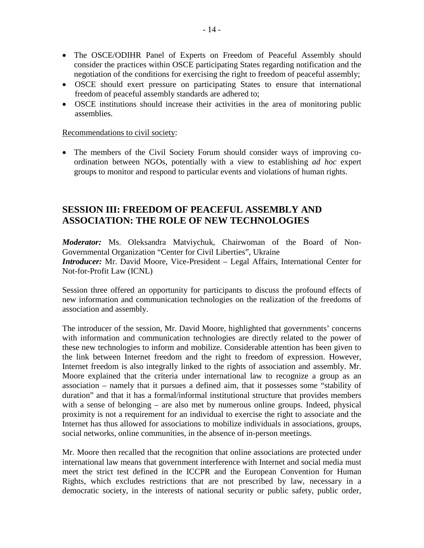- The OSCE/ODIHR Panel of Experts on Freedom of Peaceful Assembly should consider the practices within OSCE participating States regarding notification and the negotiation of the conditions for exercising the right to freedom of peaceful assembly;
- OSCE should exert pressure on participating States to ensure that international freedom of peaceful assembly standards are adhered to;
- OSCE institutions should increase their activities in the area of monitoring public assemblies.

#### Recommendations to civil society:

• The members of the Civil Society Forum should consider ways of improving coordination between NGOs, potentially with a view to establishing *ad hoc* expert groups to monitor and respond to particular events and violations of human rights.

## <span id="page-13-0"></span>**SESSION III: FREEDOM OF PEACEFUL ASSEMBLY AND ASSOCIATION: THE ROLE OF NEW TECHNOLOGIES**

*Moderator:* Ms. Oleksandra Matviychuk, Chairwoman of the Board of Non-Governmental Organization "Center for Civil Liberties", Ukraine *Introducer:* Mr. David Moore, Vice-President – Legal Affairs, International Center for Not-for-Profit Law (ICNL)

Session three offered an opportunity for participants to discuss the profound effects of new information and communication technologies on the realization of the freedoms of association and assembly.

The introducer of the session, Mr. David Moore, highlighted that governments' concerns with information and communication technologies are directly related to the power of these new technologies to inform and mobilize. Considerable attention has been given to the link between Internet freedom and the right to freedom of expression. However, Internet freedom is also integrally linked to the rights of association and assembly. Mr. Moore explained that the criteria under international law to recognize a group as an association – namely that it pursues a defined aim, that it possesses some "stability of duration" and that it has a formal/informal institutional structure that provides members with a sense of belonging – are also met by numerous online groups. Indeed, physical proximity is not a requirement for an individual to exercise the right to associate and the Internet has thus allowed for associations to mobilize individuals in associations, groups, social networks, online communities, in the absence of in-person meetings.

Mr. Moore then recalled that the recognition that online associations are protected under international law means that government interference with Internet and social media must meet the strict test defined in the ICCPR and the European Convention for Human Rights, which excludes restrictions that are not prescribed by law, necessary in a democratic society, in the interests of national security or public safety, public order,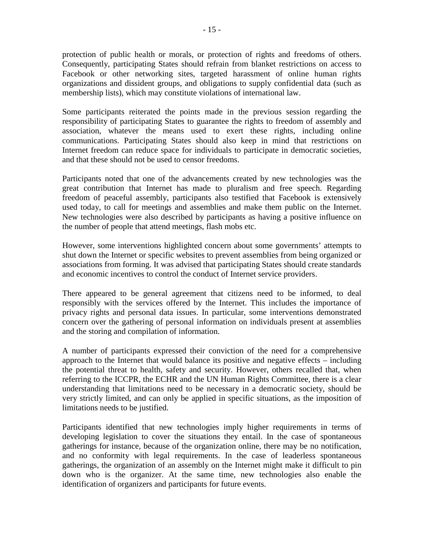protection of public health or morals, or protection of rights and freedoms of others. Consequently, participating States should refrain from blanket restrictions on access to Facebook or other networking sites, targeted harassment of online human rights organizations and dissident groups, and obligations to supply confidential data (such as membership lists), which may constitute violations of international law.

Some participants reiterated the points made in the previous session regarding the responsibility of participating States to guarantee the rights to freedom of assembly and association, whatever the means used to exert these rights, including online communications. Participating States should also keep in mind that restrictions on Internet freedom can reduce space for individuals to participate in democratic societies, and that these should not be used to censor freedoms.

Participants noted that one of the advancements created by new technologies was the great contribution that Internet has made to pluralism and free speech. Regarding freedom of peaceful assembly, participants also testified that Facebook is extensively used today, to call for meetings and assemblies and make them public on the Internet. New technologies were also described by participants as having a positive influence on the number of people that attend meetings, flash mobs etc.

However, some interventions highlighted concern about some governments' attempts to shut down the Internet or specific websites to prevent assemblies from being organized or associations from forming. It was advised that participating States should create standards and economic incentives to control the conduct of Internet service providers.

There appeared to be general agreement that citizens need to be informed, to deal responsibly with the services offered by the Internet. This includes the importance of privacy rights and personal data issues. In particular, some interventions demonstrated concern over the gathering of personal information on individuals present at assemblies and the storing and compilation of information.

A number of participants expressed their conviction of the need for a comprehensive approach to the Internet that would balance its positive and negative effects – including the potential threat to health, safety and security. However, others recalled that, when referring to the ICCPR, the ECHR and the UN Human Rights Committee, there is a clear understanding that limitations need to be necessary in a democratic society, should be very strictly limited, and can only be applied in specific situations, as the imposition of limitations needs to be justified.

Participants identified that new technologies imply higher requirements in terms of developing legislation to cover the situations they entail. In the case of spontaneous gatherings for instance, because of the organization online, there may be no notification, and no conformity with legal requirements. In the case of leaderless spontaneous gatherings, the organization of an assembly on the Internet might make it difficult to pin down who is the organizer. At the same time, new technologies also enable the identification of organizers and participants for future events.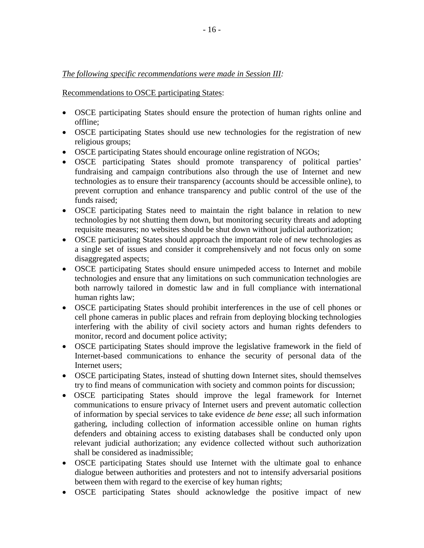#### *The following specific recommendations were made in Session III:*

Recommendations to OSCE participating States:

- OSCE participating States should ensure the protection of human rights online and offline;
- OSCE participating States should use new technologies for the registration of new religious groups;
- OSCE participating States should encourage online registration of NGOs;
- OSCE participating States should promote transparency of political parties' fundraising and campaign contributions also through the use of Internet and new technologies as to ensure their transparency (accounts should be accessible online), to prevent corruption and enhance transparency and public control of the use of the funds raised;
- OSCE participating States need to maintain the right balance in relation to new technologies by not shutting them down, but monitoring security threats and adopting requisite measures; no websites should be shut down without judicial authorization;
- OSCE participating States should approach the important role of new technologies as a single set of issues and consider it comprehensively and not focus only on some disaggregated aspects;
- OSCE participating States should ensure unimpeded access to Internet and mobile technologies and ensure that any limitations on such communication technologies are both narrowly tailored in domestic law and in full compliance with international human rights law;
- OSCE participating States should prohibit interferences in the use of cell phones or cell phone cameras in public places and refrain from deploying blocking technologies interfering with the ability of civil society actors and human rights defenders to monitor, record and document police activity;
- OSCE participating States should improve the legislative framework in the field of Internet-based communications to enhance the security of personal data of the Internet users;
- OSCE participating States, instead of shutting down Internet sites, should themselves try to find means of communication with society and common points for discussion;
- OSCE participating States should improve the legal framework for Internet communications to ensure privacy of Internet users and prevent automatic collection of information by special services to take evidence *de bene esse*; all such information gathering, including collection of information accessible online on human rights defenders and obtaining access to existing databases shall be conducted only upon relevant judicial authorization; any evidence collected without such authorization shall be considered as inadmissible;
- OSCE participating States should use Internet with the ultimate goal to enhance dialogue between authorities and protesters and not to intensify adversarial positions between them with regard to the exercise of key human rights;
- OSCE participating States should acknowledge the positive impact of new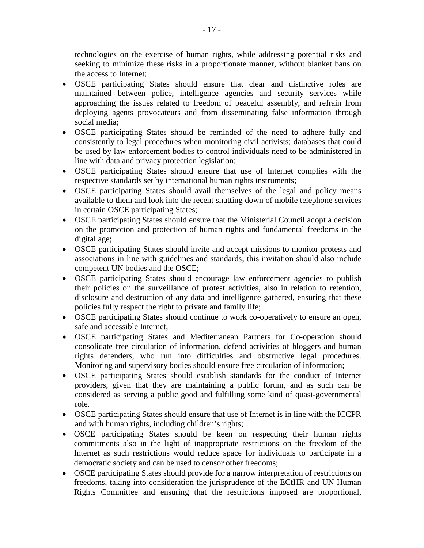technologies on the exercise of human rights, while addressing potential risks and seeking to minimize these risks in a proportionate manner, without blanket bans on the access to Internet;

- OSCE participating States should ensure that clear and distinctive roles are maintained between police, intelligence agencies and security services while approaching the issues related to freedom of peaceful assembly, and refrain from deploying agents provocateurs and from disseminating false information through social media;
- OSCE participating States should be reminded of the need to adhere fully and consistently to legal procedures when monitoring civil activists; databases that could be used by law enforcement bodies to control individuals need to be administered in line with data and privacy protection legislation;
- OSCE participating States should ensure that use of Internet complies with the respective standards set by international human rights instruments;
- OSCE participating States should avail themselves of the legal and policy means available to them and look into the recent shutting down of mobile telephone services in certain OSCE participating States;
- OSCE participating States should ensure that the Ministerial Council adopt a decision on the promotion and protection of human rights and fundamental freedoms in the digital age;
- OSCE participating States should invite and accept missions to monitor protests and associations in line with guidelines and standards; this invitation should also include competent UN bodies and the OSCE;
- OSCE participating States should encourage law enforcement agencies to publish their policies on the surveillance of protest activities, also in relation to retention, disclosure and destruction of any data and intelligence gathered, ensuring that these policies fully respect the right to private and family life;
- OSCE participating States should continue to work co-operatively to ensure an open, safe and accessible Internet;
- OSCE participating States and Mediterranean Partners for Co-operation should consolidate free circulation of information, defend activities of bloggers and human rights defenders, who run into difficulties and obstructive legal procedures. Monitoring and supervisory bodies should ensure free circulation of information;
- OSCE participating States should establish standards for the conduct of Internet providers, given that they are maintaining a public forum, and as such can be considered as serving a public good and fulfilling some kind of quasi-governmental role.
- OSCE participating States should ensure that use of Internet is in line with the ICCPR and with human rights, including children's rights;
- OSCE participating States should be keen on respecting their human rights commitments also in the light of inappropriate restrictions on the freedom of the Internet as such restrictions would reduce space for individuals to participate in a democratic society and can be used to censor other freedoms;
- OSCE participating States should provide for a narrow interpretation of restrictions on freedoms, taking into consideration the jurisprudence of the ECtHR and UN Human Rights Committee and ensuring that the restrictions imposed are proportional,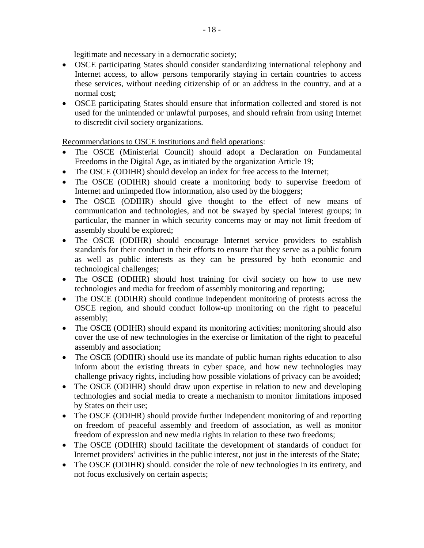legitimate and necessary in a democratic society;

- OSCE participating States should consider standardizing international telephony and Internet access, to allow persons temporarily staying in certain countries to access these services, without needing citizenship of or an address in the country, and at a normal cost;
- OSCE participating States should ensure that information collected and stored is not used for the unintended or unlawful purposes, and should refrain from using Internet to discredit civil society organizations.

Recommendations to OSCE institutions and field operations:

- The OSCE (Ministerial Council) should adopt a Declaration on Fundamental Freedoms in the Digital Age, as initiated by the organization Article 19;
- The OSCE (ODIHR) should develop an index for free access to the Internet;
- The OSCE (ODIHR) should create a monitoring body to supervise freedom of Internet and unimpeded flow information, also used by the bloggers;
- The OSCE (ODIHR) should give thought to the effect of new means of communication and technologies, and not be swayed by special interest groups; in particular, the manner in which security concerns may or may not limit freedom of assembly should be explored;
- The OSCE (ODIHR) should encourage Internet service providers to establish standards for their conduct in their efforts to ensure that they serve as a public forum as well as public interests as they can be pressured by both economic and technological challenges;
- The OSCE (ODIHR) should host training for civil society on how to use new technologies and media for freedom of assembly monitoring and reporting;
- The OSCE (ODIHR) should continue independent monitoring of protests across the OSCE region, and should conduct follow-up monitoring on the right to peaceful assembly;
- The OSCE (ODIHR) should expand its monitoring activities; monitoring should also cover the use of new technologies in the exercise or limitation of the right to peaceful assembly and association;
- The OSCE (ODIHR) should use its mandate of public human rights education to also inform about the existing threats in cyber space, and how new technologies may challenge privacy rights, including how possible violations of privacy can be avoided;
- The OSCE (ODIHR) should draw upon expertise in relation to new and developing technologies and social media to create a mechanism to monitor limitations imposed by States on their use;
- The OSCE (ODIHR) should provide further independent monitoring of and reporting on freedom of peaceful assembly and freedom of association, as well as monitor freedom of expression and new media rights in relation to these two freedoms;
- The OSCE (ODIHR) should facilitate the development of standards of conduct for Internet providers' activities in the public interest, not just in the interests of the State;
- The OSCE (ODIHR) should. consider the role of new technologies in its entirety, and not focus exclusively on certain aspects;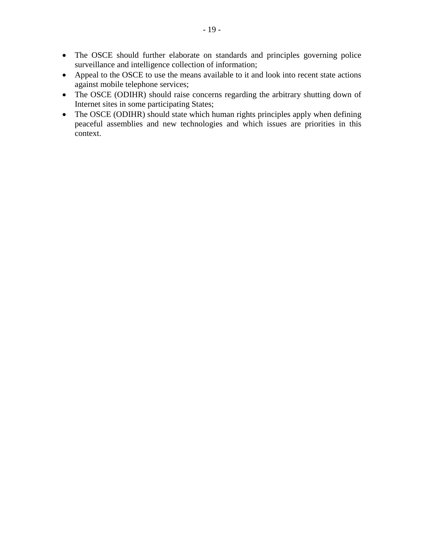- The OSCE should further elaborate on standards and principles governing police surveillance and intelligence collection of information;
- Appeal to the OSCE to use the means available to it and look into recent state actions against mobile telephone services;
- The OSCE (ODIHR) should raise concerns regarding the arbitrary shutting down of Internet sites in some participating States;
- The OSCE (ODIHR) should state which human rights principles apply when defining peaceful assemblies and new technologies and which issues are priorities in this context.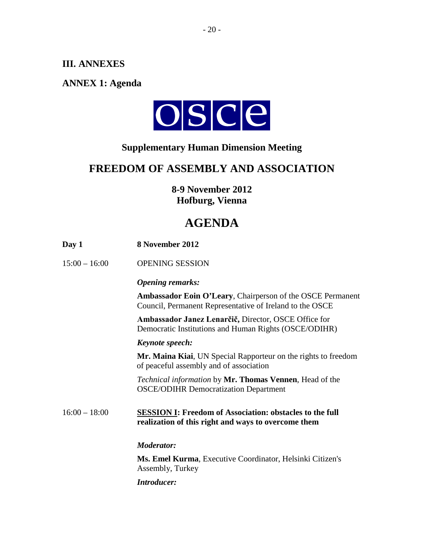# <span id="page-19-0"></span>**III. ANNEXES**

# <span id="page-19-1"></span>**ANNEX 1: Agenda**



# **Supplementary Human Dimension Meeting**

# **FREEDOM OF ASSEMBLY AND ASSOCIATION**

**8-9 November 2012 Hofburg, Vienna**

# **AGENDA**

| Day 1           | 8 November 2012                                                                                                        |
|-----------------|------------------------------------------------------------------------------------------------------------------------|
| $15:00 - 16:00$ | <b>OPENING SESSION</b>                                                                                                 |
|                 | <b>Opening remarks:</b>                                                                                                |
|                 | Ambassador Eoin O'Leary, Chairperson of the OSCE Permanent<br>Council, Permanent Representative of Ireland to the OSCE |
|                 | Ambassador Janez Lenarčič, Director, OSCE Office for<br>Democratic Institutions and Human Rights (OSCE/ODIHR)          |
|                 | Keynote speech:                                                                                                        |
|                 | Mr. Maina Kiai, UN Special Rapporteur on the rights to freedom<br>of peaceful assembly and of association              |
|                 | <i>Technical information</i> by Mr. Thomas Vennen, Head of the<br><b>OSCE/ODIHR Democratization Department</b>         |
| $16:00 - 18:00$ | <b>SESSION I: Freedom of Association: obstacles to the full</b><br>realization of this right and ways to overcome them |
|                 | <b>Moderator:</b>                                                                                                      |
|                 | Ms. Emel Kurma, Executive Coordinator, Helsinki Citizen's<br>Assembly, Turkey                                          |
|                 | <b>Introducer:</b>                                                                                                     |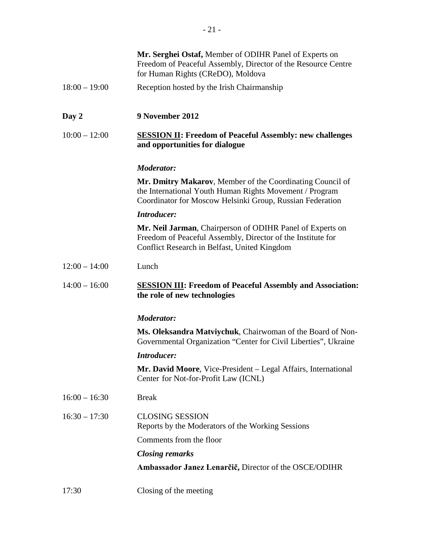|                 | Mr. Serghei Ostaf, Member of ODIHR Panel of Experts on<br>Freedom of Peaceful Assembly, Director of the Resource Centre<br>for Human Rights (CReDO), Moldova                      |
|-----------------|-----------------------------------------------------------------------------------------------------------------------------------------------------------------------------------|
| $18:00 - 19:00$ | Reception hosted by the Irish Chairmanship                                                                                                                                        |
|                 |                                                                                                                                                                                   |
| Day 2           | 9 November 2012                                                                                                                                                                   |
| $10:00 - 12:00$ | <b>SESSION II: Freedom of Peaceful Assembly: new challenges</b><br>and opportunities for dialogue                                                                                 |
|                 | <b>Moderator:</b>                                                                                                                                                                 |
|                 | Mr. Dmitry Makarov, Member of the Coordinating Council of<br>the International Youth Human Rights Movement / Program<br>Coordinator for Moscow Helsinki Group, Russian Federation |
|                 | <b>Introducer:</b>                                                                                                                                                                |
|                 | Mr. Neil Jarman, Chairperson of ODIHR Panel of Experts on<br>Freedom of Peaceful Assembly, Director of the Institute for<br>Conflict Research in Belfast, United Kingdom          |
| $12:00 - 14:00$ | Lunch                                                                                                                                                                             |
| $14:00 - 16:00$ | <b>SESSION III: Freedom of Peaceful Assembly and Association:</b><br>the role of new technologies                                                                                 |
|                 | <b>Moderator:</b>                                                                                                                                                                 |
|                 | Ms. Oleksandra Matviychuk, Chairwoman of the Board of Non-<br>Governmental Organization "Center for Civil Liberties", Ukraine                                                     |
|                 | <b>Introducer:</b>                                                                                                                                                                |
|                 | Mr. David Moore, Vice-President – Legal Affairs, International<br>Center for Not-for-Profit Law (ICNL)                                                                            |
| $16:00 - 16:30$ | <b>Break</b>                                                                                                                                                                      |
| $16:30 - 17:30$ | <b>CLOSING SESSION</b><br>Reports by the Moderators of the Working Sessions                                                                                                       |
|                 | Comments from the floor                                                                                                                                                           |
|                 | <b>Closing remarks</b>                                                                                                                                                            |
|                 | Ambassador Janez Lenarčič, Director of the OSCE/ODIHR                                                                                                                             |
| 17:30           | Closing of the meeting                                                                                                                                                            |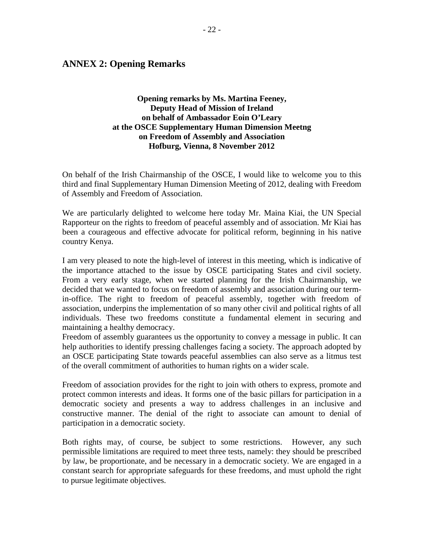## <span id="page-21-0"></span>**ANNEX 2: Opening Remarks**

#### **Opening remarks by Ms. Martina Feeney, Deputy Head of Mission of Ireland on behalf of Ambassador Eoin O'Leary at the OSCE Supplementary Human Dimension Meetng on Freedom of Assembly and Association Hofburg, Vienna, 8 November 2012**

On behalf of the Irish Chairmanship of the OSCE, I would like to welcome you to this third and final Supplementary Human Dimension Meeting of 2012, dealing with Freedom of Assembly and Freedom of Association.

We are particularly delighted to welcome here today Mr. Maina Kiai, the UN Special Rapporteur on the rights to freedom of peaceful assembly and of association. Mr Kiai has been a courageous and effective advocate for political reform, beginning in his native country Kenya.

I am very pleased to note the high-level of interest in this meeting, which is indicative of the importance attached to the issue by OSCE participating States and civil society. From a very early stage, when we started planning for the Irish Chairmanship, we decided that we wanted to focus on freedom of assembly and association during our termin-office. The right to freedom of peaceful assembly, together with freedom of association, underpins the implementation of so many other civil and political rights of all individuals. These two freedoms constitute a fundamental element in securing and maintaining a healthy democracy.

Freedom of assembly guarantees us the opportunity to convey a message in public. It can help authorities to identify pressing challenges facing a society. The approach adopted by an OSCE participating State towards peaceful assemblies can also serve as a litmus test of the overall commitment of authorities to human rights on a wider scale.

Freedom of association provides for the right to join with others to express, promote and protect common interests and ideas. It forms one of the basic pillars for participation in a democratic society and presents a way to address challenges in an inclusive and constructive manner. The denial of the right to associate can amount to denial of participation in a democratic society.

Both rights may, of course, be subject to some restrictions. However, any such permissible limitations are required to meet three tests, namely: they should be prescribed by law, be proportionate, and be necessary in a democratic society. We are engaged in a constant search for appropriate safeguards for these freedoms, and must uphold the right to pursue legitimate objectives.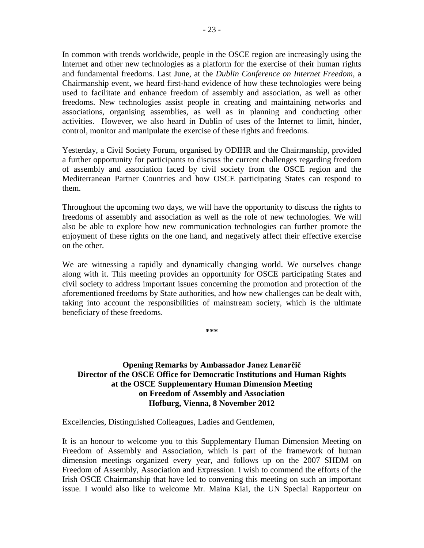In common with trends worldwide, people in the OSCE region are increasingly using the Internet and other new technologies as a platform for the exercise of their human rights and fundamental freedoms. Last June, at the *Dublin Conference on Internet Freedom*, a Chairmanship event, we heard first-hand evidence of how these technologies were being used to facilitate and enhance freedom of assembly and association, as well as other freedoms. New technologies assist people in creating and maintaining networks and associations, organising assemblies, as well as in planning and conducting other activities. However, we also heard in Dublin of uses of the Internet to limit, hinder, control, monitor and manipulate the exercise of these rights and freedoms.

Yesterday, a Civil Society Forum, organised by ODIHR and the Chairmanship, provided a further opportunity for participants to discuss the current challenges regarding freedom of assembly and association faced by civil society from the OSCE region and the Mediterranean Partner Countries and how OSCE participating States can respond to them.

Throughout the upcoming two days, we will have the opportunity to discuss the rights to freedoms of assembly and association as well as the role of new technologies. We will also be able to explore how new communication technologies can further promote the enjoyment of these rights on the one hand, and negatively affect their effective exercise on the other.

We are witnessing a rapidly and dynamically changing world. We ourselves change along with it. This meeting provides an opportunity for OSCE participating States and civil society to address important issues concerning the promotion and protection of the aforementioned freedoms by State authorities, and how new challenges can be dealt with, taking into account the responsibilities of mainstream society, which is the ultimate beneficiary of these freedoms.

**\*\*\***

#### **Opening Remarks by Ambassador Janez Lenarčič Director of the OSCE Office for Democratic Institutions and Human Rights at the OSCE Supplementary Human Dimension Meeting on Freedom of Assembly and Association Hofburg, Vienna, 8 November 2012**

Excellencies, Distinguished Colleagues, Ladies and Gentlemen,

It is an honour to welcome you to this Supplementary Human Dimension Meeting on Freedom of Assembly and Association, which is part of the framework of human dimension meetings organized every year, and follows up on the 2007 SHDM on Freedom of Assembly, Association and Expression. I wish to commend the efforts of the Irish OSCE Chairmanship that have led to convening this meeting on such an important issue. I would also like to welcome Mr. Maina Kiai, the UN Special Rapporteur on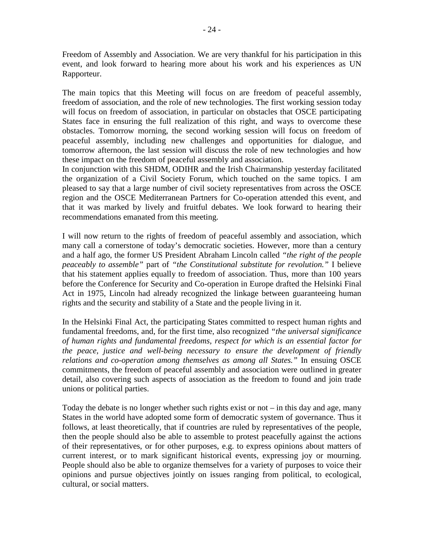Freedom of Assembly and Association. We are very thankful for his participation in this event, and look forward to hearing more about his work and his experiences as UN Rapporteur.

The main topics that this Meeting will focus on are freedom of peaceful assembly, freedom of association, and the role of new technologies. The first working session today will focus on freedom of association, in particular on obstacles that OSCE participating States face in ensuring the full realization of this right, and ways to overcome these obstacles. Tomorrow morning, the second working session will focus on freedom of peaceful assembly, including new challenges and opportunities for dialogue, and tomorrow afternoon, the last session will discuss the role of new technologies and how these impact on the freedom of peaceful assembly and association.

In conjunction with this SHDM, ODIHR and the Irish Chairmanship yesterday facilitated the organization of a Civil Society Forum, which touched on the same topics. I am pleased to say that a large number of civil society representatives from across the OSCE region and the OSCE Mediterranean Partners for Co-operation attended this event, and that it was marked by lively and fruitful debates. We look forward to hearing their recommendations emanated from this meeting.

I will now return to the rights of freedom of peaceful assembly and association, which many call a cornerstone of today's democratic societies. However, more than a century and a half ago, the former US President Abraham Lincoln called *"the right of the people peaceably to assemble"* part of *"the Constitutional substitute for revolution."* I believe that his statement applies equally to freedom of association. Thus, more than 100 years before the Conference for Security and Co-operation in Europe drafted the Helsinki Final Act in 1975, Lincoln had already recognized the linkage between guaranteeing human rights and the security and stability of a State and the people living in it.

In the Helsinki Final Act, the participating States committed to respect human rights and fundamental freedoms, and, for the first time, also recognized *"the universal significance of human rights and fundamental freedoms, respect for which is an essential factor for the peace, justice and well-being necessary to ensure the development of friendly relations and co-operation among themselves as among all States."* In ensuing OSCE commitments, the freedom of peaceful assembly and association were outlined in greater detail, also covering such aspects of association as the freedom to found and join trade unions or political parties.

Today the debate is no longer whether such rights exist or not – in this day and age, many States in the world have adopted some form of democratic system of governance. Thus it follows, at least theoretically, that if countries are ruled by representatives of the people, then the people should also be able to assemble to protest peacefully against the actions of their representatives, or for other purposes, e.g. to express opinions about matters of current interest, or to mark significant historical events, expressing joy or mourning. People should also be able to organize themselves for a variety of purposes to voice their opinions and pursue objectives jointly on issues ranging from political, to ecological, cultural, or social matters.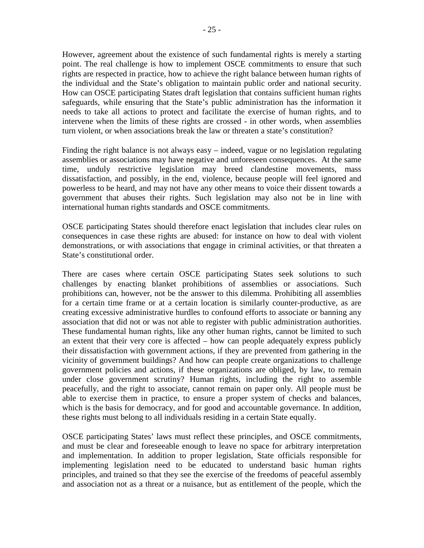However, agreement about the existence of such fundamental rights is merely a starting point. The real challenge is how to implement OSCE commitments to ensure that such rights are respected in practice, how to achieve the right balance between human rights of the individual and the State's obligation to maintain public order and national security. How can OSCE participating States draft legislation that contains sufficient human rights safeguards, while ensuring that the State's public administration has the information it needs to take all actions to protect and facilitate the exercise of human rights, and to intervene when the limits of these rights are crossed - in other words, when assemblies turn violent, or when associations break the law or threaten a state's constitution?

Finding the right balance is not always easy – indeed, vague or no legislation regulating assemblies or associations may have negative and unforeseen consequences. At the same time, unduly restrictive legislation may breed clandestine movements, mass dissatisfaction, and possibly, in the end, violence, because people will feel ignored and powerless to be heard, and may not have any other means to voice their dissent towards a government that abuses their rights. Such legislation may also not be in line with international human rights standards and OSCE commitments.

OSCE participating States should therefore enact legislation that includes clear rules on consequences in case these rights are abused: for instance on how to deal with violent demonstrations, or with associations that engage in criminal activities, or that threaten a State's constitutional order.

There are cases where certain OSCE participating States seek solutions to such challenges by enacting blanket prohibitions of assemblies or associations. Such prohibitions can, however, not be the answer to this dilemma. Prohibiting all assemblies for a certain time frame or at a certain location is similarly counter-productive, as are creating excessive administrative hurdles to confound efforts to associate or banning any association that did not or was not able to register with public administration authorities. These fundamental human rights, like any other human rights, cannot be limited to such an extent that their very core is affected – how can people adequately express publicly their dissatisfaction with government actions, if they are prevented from gathering in the vicinity of government buildings? And how can people create organizations to challenge government policies and actions, if these organizations are obliged, by law, to remain under close government scrutiny? Human rights, including the right to assemble peacefully, and the right to associate, cannot remain on paper only. All people must be able to exercise them in practice, to ensure a proper system of checks and balances, which is the basis for democracy, and for good and accountable governance. In addition, these rights must belong to all individuals residing in a certain State equally.

OSCE participating States' laws must reflect these principles, and OSCE commitments, and must be clear and foreseeable enough to leave no space for arbitrary interpretation and implementation. In addition to proper legislation, State officials responsible for implementing legislation need to be educated to understand basic human rights principles, and trained so that they see the exercise of the freedoms of peaceful assembly and association not as a threat or a nuisance, but as entitlement of the people, which the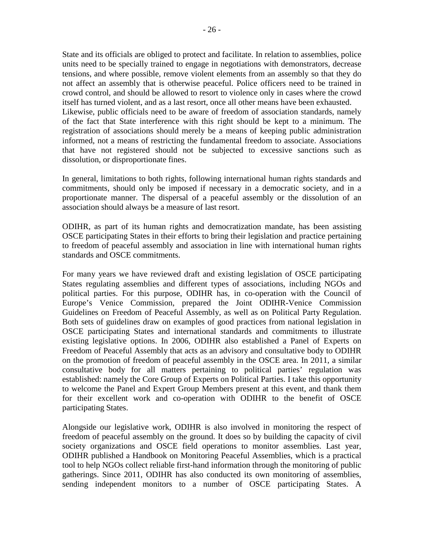State and its officials are obliged to protect and facilitate. In relation to assemblies, police units need to be specially trained to engage in negotiations with demonstrators, decrease tensions, and where possible, remove violent elements from an assembly so that they do not affect an assembly that is otherwise peaceful. Police officers need to be trained in crowd control, and should be allowed to resort to violence only in cases where the crowd itself has turned violent, and as a last resort, once all other means have been exhausted. Likewise, public officials need to be aware of freedom of association standards, namely of the fact that State interference with this right should be kept to a minimum. The registration of associations should merely be a means of keeping public administration informed, not a means of restricting the fundamental freedom to associate. Associations that have not registered should not be subjected to excessive sanctions such as dissolution, or disproportionate fines.

In general, limitations to both rights, following international human rights standards and commitments, should only be imposed if necessary in a democratic society, and in a proportionate manner. The dispersal of a peaceful assembly or the dissolution of an association should always be a measure of last resort.

ODIHR, as part of its human rights and democratization mandate, has been assisting OSCE participating States in their efforts to bring their legislation and practice pertaining to freedom of peaceful assembly and association in line with international human rights standards and OSCE commitments.

For many years we have reviewed draft and existing legislation of OSCE participating States regulating assemblies and different types of associations, including NGOs and political parties. For this purpose, ODIHR has, in co-operation with the Council of Europe's Venice Commission, prepared the Joint ODIHR-Venice Commission Guidelines on Freedom of Peaceful Assembly, as well as on Political Party Regulation. Both sets of guidelines draw on examples of good practices from national legislation in OSCE participating States and international standards and commitments to illustrate existing legislative options. In 2006, ODIHR also established a Panel of Experts on Freedom of Peaceful Assembly that acts as an advisory and consultative body to ODIHR on the promotion of freedom of peaceful assembly in the OSCE area. In 2011, a similar consultative body for all matters pertaining to political parties' regulation was established: namely the Core Group of Experts on Political Parties. I take this opportunity to welcome the Panel and Expert Group Members present at this event, and thank them for their excellent work and co-operation with ODIHR to the benefit of OSCE participating States.

Alongside our legislative work, ODIHR is also involved in monitoring the respect of freedom of peaceful assembly on the ground. It does so by building the capacity of civil society organizations and OSCE field operations to monitor assemblies. Last year, ODIHR published a Handbook on Monitoring Peaceful Assemblies, which is a practical tool to help NGOs collect reliable first-hand information through the monitoring of public gatherings. Since 2011, ODIHR has also conducted its own monitoring of assemblies, sending independent monitors to a number of OSCE participating States. A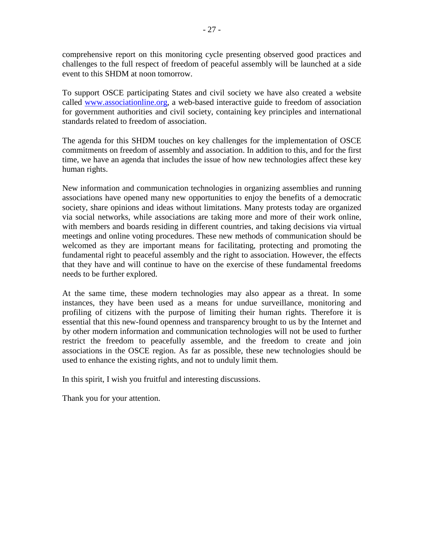comprehensive report on this monitoring cycle presenting observed good practices and challenges to the full respect of freedom of peaceful assembly will be launched at a side event to this SHDM at noon tomorrow.

To support OSCE participating States and civil society we have also created a website called [www.associationline.org,](http://www.associationline.org/) a web-based interactive guide to freedom of association for government authorities and civil society, containing key principles and international standards related to freedom of association.

The agenda for this SHDM touches on key challenges for the implementation of OSCE commitments on freedom of assembly and association. In addition to this, and for the first time, we have an agenda that includes the issue of how new technologies affect these key human rights.

New information and communication technologies in organizing assemblies and running associations have opened many new opportunities to enjoy the benefits of a democratic society, share opinions and ideas without limitations. Many protests today are organized via social networks, while associations are taking more and more of their work online, with members and boards residing in different countries, and taking decisions via virtual meetings and online voting procedures. These new methods of communication should be welcomed as they are important means for facilitating, protecting and promoting the fundamental right to peaceful assembly and the right to association. However, the effects that they have and will continue to have on the exercise of these fundamental freedoms needs to be further explored.

At the same time, these modern technologies may also appear as a threat. In some instances, they have been used as a means for undue surveillance, monitoring and profiling of citizens with the purpose of limiting their human rights. Therefore it is essential that this new-found openness and transparency brought to us by the Internet and by other modern information and communication technologies will not be used to further restrict the freedom to peacefully assemble, and the freedom to create and join associations in the OSCE region. As far as possible, these new technologies should be used to enhance the existing rights, and not to unduly limit them.

In this spirit, I wish you fruitful and interesting discussions.

Thank you for your attention.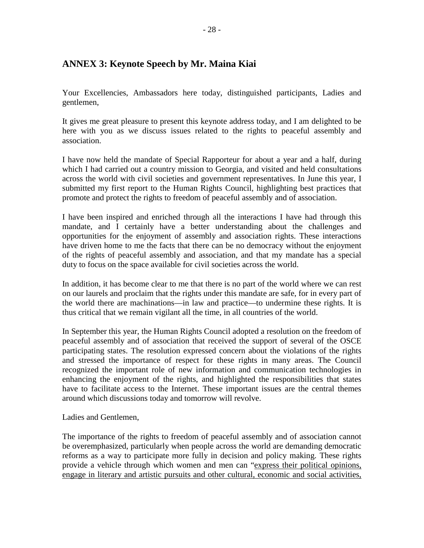# <span id="page-27-0"></span>**ANNEX 3: Keynote Speech by Mr. Maina Kiai**

Your Excellencies, Ambassadors here today, distinguished participants, Ladies and gentlemen,

It gives me great pleasure to present this keynote address today, and I am delighted to be here with you as we discuss issues related to the rights to peaceful assembly and association.

I have now held the mandate of Special Rapporteur for about a year and a half, during which I had carried out a country mission to Georgia, and visited and held consultations across the world with civil societies and government representatives. In June this year, I submitted my first report to the Human Rights Council, highlighting best practices that promote and protect the rights to freedom of peaceful assembly and of association.

I have been inspired and enriched through all the interactions I have had through this mandate, and I certainly have a better understanding about the challenges and opportunities for the enjoyment of assembly and association rights. These interactions have driven home to me the facts that there can be no democracy without the enjoyment of the rights of peaceful assembly and association, and that my mandate has a special duty to focus on the space available for civil societies across the world.

In addition, it has become clear to me that there is no part of the world where we can rest on our laurels and proclaim that the rights under this mandate are safe, for in every part of the world there are machinations—in law and practice—to undermine these rights. It is thus critical that we remain vigilant all the time, in all countries of the world.

In September this year, the Human Rights Council adopted a resolution on the freedom of peaceful assembly and of association that received the support of several of the OSCE participating states. The resolution expressed concern about the violations of the rights and stressed the importance of respect for these rights in many areas. The Council recognized the important role of new information and communication technologies in enhancing the enjoyment of the rights, and highlighted the responsibilities that states have to facilitate access to the Internet. These important issues are the central themes around which discussions today and tomorrow will revolve.

Ladies and Gentlemen,

The importance of the rights to freedom of peaceful assembly and of association cannot be overemphasized, particularly when people across the world are demanding democratic reforms as a way to participate more fully in decision and policy making. These rights provide a vehicle through which women and men can "express their political opinions, engage in literary and artistic pursuits and other cultural, economic and social activities,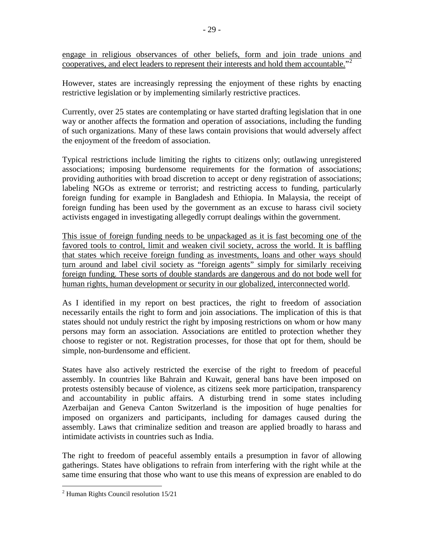engage in religious observances of other beliefs, form and join trade unions and cooperatives, and elect leaders to represent their interests and hold them accountable."[2](#page-28-0)

However, states are increasingly repressing the enjoyment of these rights by enacting restrictive legislation or by implementing similarly restrictive practices.

Currently, over 25 states are contemplating or have started drafting legislation that in one way or another affects the formation and operation of associations, including the funding of such organizations. Many of these laws contain provisions that would adversely affect the enjoyment of the freedom of association.

Typical restrictions include limiting the rights to citizens only; outlawing unregistered associations; imposing burdensome requirements for the formation of associations; providing authorities with broad discretion to accept or deny registration of associations; labeling NGOs as extreme or terrorist; and restricting access to funding, particularly foreign funding for example in Bangladesh and Ethiopia. In Malaysia, the receipt of foreign funding has been used by the government as an excuse to harass civil society activists engaged in investigating allegedly corrupt dealings within the government.

This issue of foreign funding needs to be unpackaged as it is fast becoming one of the favored tools to control, limit and weaken civil society, across the world. It is baffling that states which receive foreign funding as investments, loans and other ways should turn around and label civil society as "foreign agents" simply for similarly receiving foreign funding. These sorts of double standards are dangerous and do not bode well for human rights, human development or security in our globalized, interconnected world.

As I identified in my report on best practices, the right to freedom of association necessarily entails the right to form and join associations. The implication of this is that states should not unduly restrict the right by imposing restrictions on whom or how many persons may form an association. Associations are entitled to protection whether they choose to register or not. Registration processes, for those that opt for them, should be simple, non-burdensome and efficient.

States have also actively restricted the exercise of the right to freedom of peaceful assembly. In countries like Bahrain and Kuwait, general bans have been imposed on protests ostensibly because of violence, as citizens seek more participation, transparency and accountability in public affairs. A disturbing trend in some states including Azerbaijan and Geneva Canton Switzerland is the imposition of huge penalties for imposed on organizers and participants, including for damages caused during the assembly. Laws that criminalize sedition and treason are applied broadly to harass and intimidate activists in countries such as India.

The right to freedom of peaceful assembly entails a presumption in favor of allowing gatherings. States have obligations to refrain from interfering with the right while at the same time ensuring that those who want to use this means of expression are enabled to do

<span id="page-28-0"></span> <sup>2</sup> Human Rights Council resolution 15/21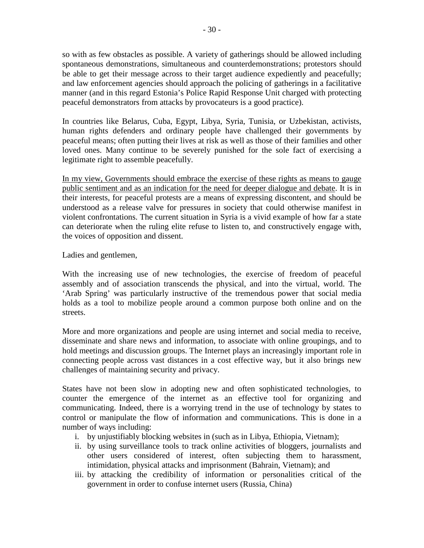so with as few obstacles as possible. A variety of gatherings should be allowed including spontaneous demonstrations, simultaneous and counterdemonstrations; protestors should be able to get their message across to their target audience expediently and peacefully; and law enforcement agencies should approach the policing of gatherings in a facilitative manner (and in this regard Estonia's Police Rapid Response Unit charged with protecting peaceful demonstrators from attacks by provocateurs is a good practice).

In countries like Belarus, Cuba, Egypt, Libya, Syria, Tunisia, or Uzbekistan, activists, human rights defenders and ordinary people have challenged their governments by peaceful means; often putting their lives at risk as well as those of their families and other loved ones. Many continue to be severely punished for the sole fact of exercising a legitimate right to assemble peacefully.

In my view, Governments should embrace the exercise of these rights as means to gauge public sentiment and as an indication for the need for deeper dialogue and debate. It is in their interests, for peaceful protests are a means of expressing discontent, and should be understood as a release valve for pressures in society that could otherwise manifest in violent confrontations. The current situation in Syria is a vivid example of how far a state can deteriorate when the ruling elite refuse to listen to, and constructively engage with, the voices of opposition and dissent.

Ladies and gentlemen,

With the increasing use of new technologies, the exercise of freedom of peaceful assembly and of association transcends the physical, and into the virtual, world. The 'Arab Spring' was particularly instructive of the tremendous power that social media holds as a tool to mobilize people around a common purpose both online and on the streets.

More and more organizations and people are using internet and social media to receive, disseminate and share news and information, to associate with online groupings, and to hold meetings and discussion groups. The Internet plays an increasingly important role in connecting people across vast distances in a cost effective way, but it also brings new challenges of maintaining security and privacy.

States have not been slow in adopting new and often sophisticated technologies, to counter the emergence of the internet as an effective tool for organizing and communicating. Indeed, there is a worrying trend in the use of technology by states to control or manipulate the flow of information and communications. This is done in a number of ways including:

- i. by unjustifiably blocking websites in (such as in Libya, Ethiopia, Vietnam);
- ii. by using surveillance tools to track online activities of bloggers, journalists and other users considered of interest, often subjecting them to harassment, intimidation, physical attacks and imprisonment (Bahrain, Vietnam); and
- iii. by attacking the credibility of information or personalities critical of the government in order to confuse internet users (Russia, China)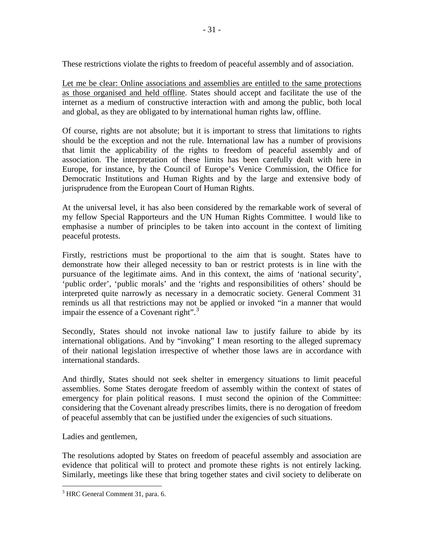These restrictions violate the rights to freedom of peaceful assembly and of association.

Let me be clear: Online associations and assemblies are entitled to the same protections as those organised and held offline. States should accept and facilitate the use of the internet as a medium of constructive interaction with and among the public, both local and global, as they are obligated to by international human rights law, offline.

Of course, rights are not absolute; but it is important to stress that limitations to rights should be the exception and not the rule. International law has a number of provisions that limit the applicability of the rights to freedom of peaceful assembly and of association. The interpretation of these limits has been carefully dealt with here in Europe, for instance, by the Council of Europe's Venice Commission, the Office for Democratic Institutions and Human Rights and by the large and extensive body of jurisprudence from the European Court of Human Rights.

At the universal level, it has also been considered by the remarkable work of several of my fellow Special Rapporteurs and the UN Human Rights Committee. I would like to emphasise a number of principles to be taken into account in the context of limiting peaceful protests.

Firstly, restrictions must be proportional to the aim that is sought. States have to demonstrate how their alleged necessity to ban or restrict protests is in line with the pursuance of the legitimate aims. And in this context, the aims of 'national security', 'public order', 'public morals' and the 'rights and responsibilities of others' should be interpreted quite narrowly as necessary in a democratic society. General Comment 31 reminds us all that restrictions may not be applied or invoked "in a manner that would impair the essence of a Covenant right".<sup>[3](#page-30-0)</sup>

Secondly, States should not invoke national law to justify failure to abide by its international obligations. And by "invoking" I mean resorting to the alleged supremacy of their national legislation irrespective of whether those laws are in accordance with international standards.

And thirdly, States should not seek shelter in emergency situations to limit peaceful assemblies. Some States derogate freedom of assembly within the context of states of emergency for plain political reasons. I must second the opinion of the Committee: considering that the Covenant already prescribes limits, there is no derogation of freedom of peaceful assembly that can be justified under the exigencies of such situations.

Ladies and gentlemen,

The resolutions adopted by States on freedom of peaceful assembly and association are evidence that political will to protect and promote these rights is not entirely lacking. Similarly, meetings like these that bring together states and civil society to deliberate on

<span id="page-30-0"></span><sup>&</sup>lt;sup>3</sup> HRC General Comment 31, para. 6.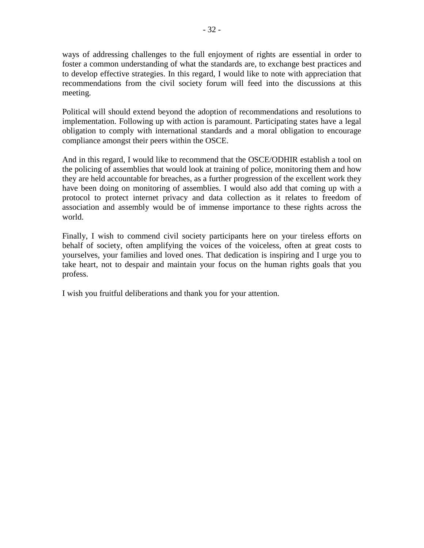ways of addressing challenges to the full enjoyment of rights are essential in order to foster a common understanding of what the standards are, to exchange best practices and to develop effective strategies. In this regard, I would like to note with appreciation that recommendations from the civil society forum will feed into the discussions at this meeting.

Political will should extend beyond the adoption of recommendations and resolutions to implementation. Following up with action is paramount. Participating states have a legal obligation to comply with international standards and a moral obligation to encourage compliance amongst their peers within the OSCE.

And in this regard, I would like to recommend that the OSCE/ODHIR establish a tool on the policing of assemblies that would look at training of police, monitoring them and how they are held accountable for breaches, as a further progression of the excellent work they have been doing on monitoring of assemblies. I would also add that coming up with a protocol to protect internet privacy and data collection as it relates to freedom of association and assembly would be of immense importance to these rights across the world.

Finally, I wish to commend civil society participants here on your tireless efforts on behalf of society, often amplifying the voices of the voiceless, often at great costs to yourselves, your families and loved ones. That dedication is inspiring and I urge you to take heart, not to despair and maintain your focus on the human rights goals that you profess.

I wish you fruitful deliberations and thank you for your attention.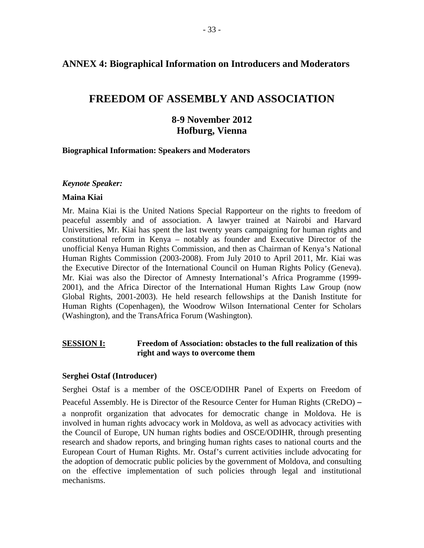### <span id="page-32-0"></span>**ANNEX 4: Biographical Information on Introducers and Moderators**

# **FREEDOM OF ASSEMBLY AND ASSOCIATION**

## **8-9 November 2012 Hofburg, Vienna**

#### **Biographical Information: Speakers and Moderators**

#### *Keynote Speaker:*

#### **Maina Kiai**

Mr. Maina Kiai is the United Nations Special Rapporteur on the rights to freedom of peaceful assembly and of association. A lawyer trained at Nairobi and Harvard Universities, Mr. Kiai has spent the last twenty years campaigning for human rights and constitutional reform in Kenya – notably as founder and Executive Director of the unofficial Kenya Human Rights Commission, and then as Chairman of Kenya's National Human Rights Commission (2003-2008). From July 2010 to April 2011, Mr. Kiai was the Executive Director of the International Council on Human Rights Policy (Geneva). Mr. Kiai was also the Director of Amnesty International's Africa Programme (1999- 2001), and the Africa Director of the International Human Rights Law Group (now Global Rights, 2001-2003). He held research fellowships at the Danish Institute for Human Rights (Copenhagen), the Woodrow Wilson International Center for Scholars (Washington), and the TransAfrica Forum (Washington).

#### **SESSION I: Freedom of Association: obstacles to the full realization of this right and ways to overcome them**

#### **Serghei Ostaf (Introducer)**

Serghei Ostaf is a member of the OSCE/ODIHR Panel of Experts on Freedom of Peaceful Assembly. He is Director of the Resource Center for Human Rights (CReDO) – a nonprofit organization that advocates for democratic change in Moldova. He is involved in human rights advocacy work in Moldova, as well as advocacy activities with the Council of Europe, UN human rights bodies and OSCE/ODIHR, through presenting research and shadow reports, and bringing human rights cases to national courts and the European Court of Human Rights. Mr. Ostaf's current activities include advocating for the adoption of democratic public policies by the government of Moldova, and consulting on the effective implementation of such policies through legal and institutional mechanisms.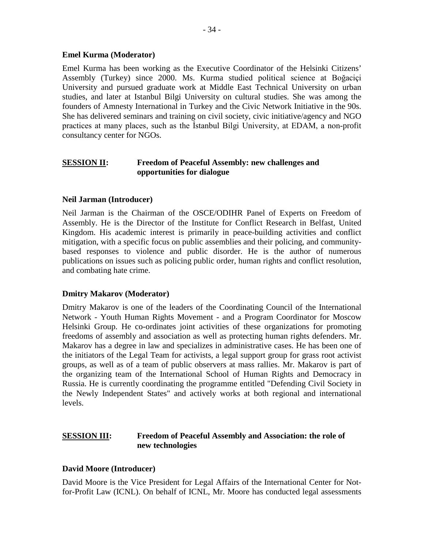#### **Emel Kurma (Moderator)**

Emel Kurma has been working as the Executive Coordinator of the Helsinki Citizens' Assembly (Turkey) since 2000. Ms. Kurma studied political science at Boğaciçi University and pursued graduate work at Middle East Technical University on urban studies, and later at Istanbul Bilgi University on cultural studies. She was among the founders of Amnesty International in Turkey and the Civic Network Initiative in the 90s. She has delivered seminars and training on civil society, civic initiative/agency and NGO practices at many places, such as the İstanbul Bilgi University, at EDAM, a non-profit consultancy center for NGOs.

#### **SESSION II:** Freedom of Peaceful Assembly: new challenges and **opportunities for dialogue**

#### **Neil Jarman (Introducer)**

Neil Jarman is the Chairman of the OSCE/ODIHR Panel of Experts on Freedom of Assembly. He is the Director of the Institute for Conflict Research in Belfast, United Kingdom. His academic interest is primarily in peace-building activities and conflict mitigation, with a specific focus on public assemblies and their policing, and communitybased responses to violence and public disorder. He is the author of numerous publications on issues such as policing public order, human rights and conflict resolution, and combating hate crime.

#### **Dmitry Makarov (Moderator)**

Dmitry Makarov is one of the leaders of the Coordinating Council of the International Network - Youth Human Rights Movement - and a Program Coordinator for Moscow Helsinki Group. He co-ordinates joint activities of these organizations for promoting freedoms of assembly and association as well as protecting human rights defenders. Mr. Makarov has a degree in law and specializes in administrative cases. He has been one of the initiators of the Legal Team for activists, a legal support group for grass root activist groups, as well as of a team of public observers at mass rallies. Mr. Makarov is part of the organizing team of the International School of Human Rights and Democracy in Russia. He is currently coordinating the programme entitled "Defending Civil Society in the Newly Independent States" and actively works at both regional and international levels.

#### **SESSION III: Freedom of Peaceful Assembly and Association: the role of new technologies**

#### **David Moore (Introducer)**

David Moore is the Vice President for Legal Affairs of the International Center for Notfor-Profit Law (ICNL). On behalf of ICNL, Mr. Moore has conducted legal assessments